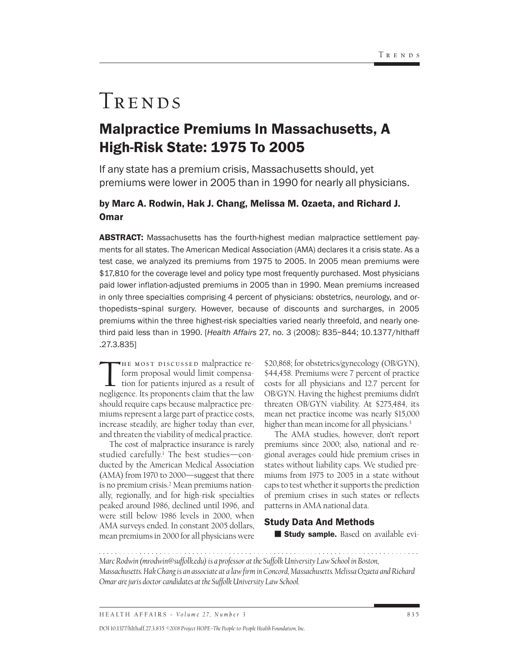# TRENDS

## Malpractice Premiums In Massachusetts, A High-Risk State: 1975 To 2005

If any state has a premium crisis, Massachusetts should, yet premiums were lower in 2005 than in 1990 for nearly all physicians.

### by Marc A. Rodwin, Hak J. Chang, Melissa M. Ozaeta, and Richard J. Omar

ABSTRACT: Massachusetts has the fourth-highest median malpractice settlement payments for all states. The American Medical Association (AMA) declares it a crisis state. As a test case, we analyzed its premiums from 1975 to 2005. In 2005 mean premiums were \$17,810 for the coverage level and policy type most frequently purchased. Most physicians paid lower inflation-adjusted premiums in 2005 than in 1990. Mean premiums increased in only three specialties comprising 4 percent of physicians: obstetrics, neurology, and orthopedists–spinal surgery. However, because of discounts and surcharges, in 2005 premiums within the three highest-risk specialties varied nearly threefold, and nearly onethird paid less than in 1990. [*Health Affairs* 27, no. 3 (2008): 835–844; 10.1377/hlthaff .27.3.835]

THE MOST DISCUSSED malpractice reform proposal would limit compensation for patients injured as a result of negligence. Its proponents claim that the law should require caps because malpractice premiums represent a large part of practice costs, increase steadily, are higher today than ever, and threaten the viability of medical practice.

The cost of malpractice insurance is rarely studied carefully.<sup>1</sup> The best studies—conducted by the American Medical Association (AMA) from 1970 to 2000—suggest that there is no premium crisis.<sup>2</sup> Mean premiums nationally, regionally, and for high-risk specialties peaked around 1986, declined until 1996, and were still below 1986 levels in 2000, when AMA surveys ended. In constant 2005 dollars, mean premiums in 2000 for all physicians were

\$20,868; for obstetrics/gynecology (OB/GYN), \$44,458. Premiums were 7 percent of practice costs for all physicians and 12.7 percent for OB/GYN. Having the highest premiums didn't threaten OB/GYN viability. At \$275,484, its mean net practice income was nearly \$15,000 higher than mean income for all physicians.<sup>3</sup>

The AMA studies, however, don't report premiums since 2000; also, national and regional averages could hide premium crises in states without liability caps. We studied premiums from 1975 to 2005 in a state without caps to test whether it supports the prediction of premium crises in such states or reflects patterns in AMA national data.

#### Study Data And Methods

**Study sample.** Based on available evi-

*Marc Rodwin (mrodwin@suffolk.edu) is a professor at the Suffolk University Law School in Boston, Massachusetts. Hak Chang is an associate at a law firm in Concord, Massachusetts. Melissa Ozaeta and Richard Omar are juris doctor candidates at the Suffolk University Law School.*

DOI 10.1377/hlthaff.27.3.835 *©2008 Project HOPE–The People-to-People Health Foundation, Inc.*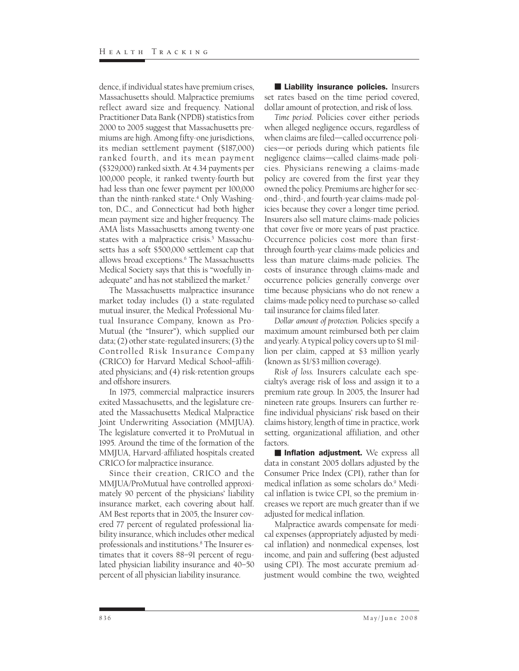dence, if individual states have premium crises, Massachusetts should. Malpractice premiums reflect award size and frequency. National Practitioner Data Bank (NPDB) statistics from 2000 to 2005 suggest that Massachusetts premiums are high. Among fifty-one jurisdictions, its median settlement payment (\$187,000) ranked fourth, and its mean payment (\$329,000) ranked sixth. At 4.34 payments per 100,000 people, it ranked twenty-fourth but had less than one fewer payment per 100,000 than the ninth-ranked state.4 Only Washington, D.C., and Connecticut had both higher mean payment size and higher frequency. The AMA lists Massachusetts among twenty-one states with a malpractice crisis.<sup>5</sup> Massachusetts has a soft \$500,000 settlement cap that allows broad exceptions.6 The Massachusetts Medical Society says that this is "woefully inadequate" and has not stabilized the market.7

The Massachusetts malpractice insurance market today includes (1) a state-regulated mutual insurer, the Medical Professional Mutual Insurance Company, known as Pro-Mutual (the "Insurer"), which supplied our data; (2) other state-regulated insurers; (3) the Controlled Risk Insurance Company (CRICO) for Harvard Medical School–affiliated physicians; and (4) risk-retention groups and offshore insurers.

In 1975, commercial malpractice insurers exited Massachusetts, and the legislature created the Massachusetts Medical Malpractice Joint Underwriting Association (MMJUA). The legislature converted it to ProMutual in 1995. Around the time of the formation of the MMJUA, Harvard-affiliated hospitals created CRICO for malpractice insurance.

Since their creation, CRICO and the MMJUA/ProMutual have controlled approximately 90 percent of the physicians' liability insurance market, each covering about half. AM Best reports that in 2005, the Insurer covered 77 percent of regulated professional liability insurance, which includes other medical professionals and institutions.8 The Insurer estimates that it covers 88–91 percent of regulated physician liability insurance and 40–50 percent of all physician liability insurance.

**Liability insurance policies.** Insurers set rates based on the time period covered, dollar amount of protection, and risk of loss.

*Time period.* Policies cover either periods when alleged negligence occurs, regardless of when claims are filed—called occurrence policies—or periods during which patients file negligence claims—called claims-made policies. Physicians renewing a claims-made policy are covered from the first year they owned the policy. Premiums are higher for second-, third-, and fourth-year claims-made policies because they cover a longer time period. Insurers also sell mature claims-made policies that cover five or more years of past practice. Occurrence policies cost more than firstthrough fourth-year claims-made policies and less than mature claims-made policies. The costs of insurance through claims-made and occurrence policies generally converge over time because physicians who do not renew a claims-made policy need to purchase so-called tail insurance for claims filed later.

*Dollar amount of protection.* Policies specify a maximum amount reimbursed both per claim and yearly. A typical policy covers up to \$1 million per claim, capped at \$3 million yearly (known as \$1/\$3 million coverage).

*Risk of loss.* Insurers calculate each specialty's average risk of loss and assign it to a premium rate group. In 2005, the Insurer had nineteen rate groups. Insurers can further refine individual physicians' risk based on their claims history, length of time in practice, work setting, organizational affiliation, and other factors.

**Inflation adjustment.** We express all data in constant 2005 dollars adjusted by the Consumer Price Index (CPI), rather than for medical inflation as some scholars do.9 Medical inflation is twice CPI, so the premium increases we report are much greater than if we adjusted for medical inflation.

Malpractice awards compensate for medical expenses (appropriately adjusted by medical inflation) and nonmedical expenses, lost income, and pain and suffering (best adjusted using CPI). The most accurate premium adjustment would combine the two, weighted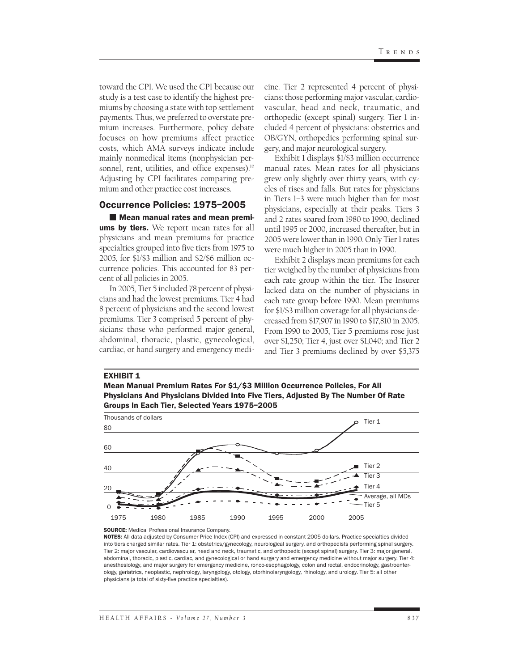toward the CPI. We used the CPI because our study is a test case to identify the highest premiums by choosing a state with top settlement payments. Thus, we preferred to overstate premium increases. Furthermore, policy debate focuses on how premiums affect practice costs, which AMA surveys indicate include mainly nonmedical items (nonphysician personnel, rent, utilities, and office expenses).<sup>10</sup> Adjusting by CPI facilitates comparing premium and other practice cost increases.

#### Occurrence Policies: 1975–2005

**Nean manual rates and mean premiums by tiers.** We report mean rates for all physicians and mean premiums for practice specialties grouped into five tiers from 1975 to 2005, for \$1/\$3 million and \$2/\$6 million occurrence policies. This accounted for 83 percent of all policies in 2005.

In 2005, Tier 5 included 78 percent of physicians and had the lowest premiums. Tier 4 had 8 percent of physicians and the second lowest premiums. Tier 3 comprised 5 percent of physicians: those who performed major general, abdominal, thoracic, plastic, gynecological, cardiac, or hand surgery and emergency medi-

cine. Tier 2 represented 4 percent of physicians: those performing major vascular, cardiovascular, head and neck, traumatic, and orthopedic (except spinal) surgery. Tier 1 included 4 percent of physicians: obstetrics and OB/GYN, orthopedics performing spinal surgery, and major neurological surgery.

Exhibit 1 displays \$1/\$3 million occurrence manual rates. Mean rates for all physicians grew only slightly over thirty years, with cycles of rises and falls. But rates for physicians in Tiers 1–3 were much higher than for most physicians, especially at their peaks. Tiers 3 and 2 rates soared from 1980 to 1990, declined until 1995 or 2000, increased thereafter, but in 2005 were lower than in 1990. Only Tier 1 rates were much higher in 2005 than in 1990.

Exhibit 2 displays mean premiums for each tier weighed by the number of physicians from each rate group within the tier. The Insurer lacked data on the number of physicians in each rate group before 1990. Mean premiums for \$1/\$3 million coverage for all physicians decreased from \$17,907 in 1990 to \$17,810 in 2005. From 1990 to 2005, Tier 5 premiums rose just over \$1,250; Tier 4, just over \$1,040; and Tier 2 and Tier 3 premiums declined by over \$5,375

#### **EXHIBIT 1**

Mean Manual Premium Rates For \$1/\$3 Million Occurrence Policies, For All Physicians And Physicians Divided Into Five Tiers, Adjusted By The Number Of Rate Groups In Each Tier, Selected Years 1975–2005



SOURCE: Medical Professional Insurance Company.

NOTES: All data adjusted by Consumer Price Index (CPI) and expressed in constant 2005 dollars. Practice specialties divided into tiers charged similar rates. Tier 1: obstetrics/gynecology, neurological surgery, and orthopedists performing spinal surgery. Tier 2: major vascular, cardiovascular, head and neck, traumatic, and orthopedic (except spinal) surgery. Tier 3: major general, abdominal, thoracic, plastic, cardiac, and gynecological or hand surgery and emergency medicine without major surgery. Tier 4: anesthesiology, and major surgery for emergency medicine, ronco-esophagology, colon and rectal, endocrinology, gastroenterology, geriatrics, neoplastic, nephrology, laryngology, otology, otorhinolaryngology, rhinology, and urology. Tier 5: all other physicians (a total of sixty-five practice specialties).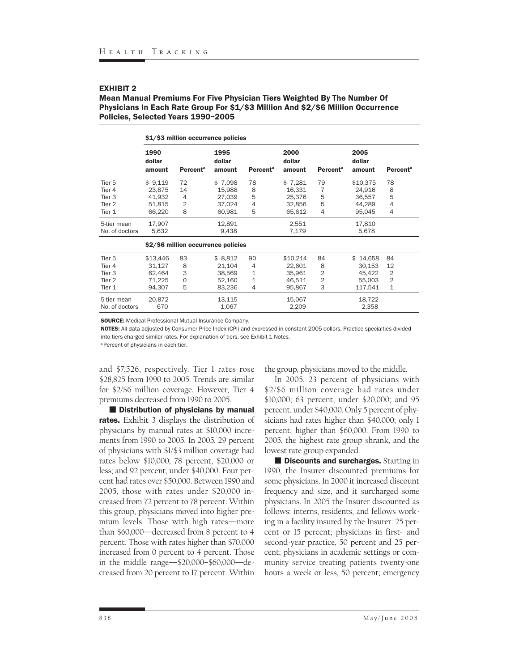#### Mean Manual Premiums For Five Physician Tiers Weighted By The Number Of Physicians In Each Rate Group For \$1/\$3 Million And \$2/\$6 Million Occurrence Policies, Selected Years 1990–2005

|                                     | \$1/\$3 million occurrence policies |                            |                          |                            |                          |                            |                          |                            |
|-------------------------------------|-------------------------------------|----------------------------|--------------------------|----------------------------|--------------------------|----------------------------|--------------------------|----------------------------|
|                                     | 1990<br>dollar<br>amount            | <b>Percent<sup>a</sup></b> | 1995<br>dollar<br>amount | <b>Percent<sup>a</sup></b> | 2000<br>dollar<br>amount | <b>Percent<sup>a</sup></b> | 2005<br>dollar<br>amount | <b>Percent<sup>a</sup></b> |
| Tier 5                              | \$9,119                             | 72                         | \$7,098                  | 78                         | \$7,281                  | 79                         | \$10,375                 | 78                         |
| Tier 4                              | 23,875                              | 14                         | 15,988                   | 8                          | 16,331                   | $\overline{7}$             | 24,916                   | 8                          |
| Tier 3                              | 41.932                              | $\overline{4}$             | 27.039                   | 5                          | 25.376                   | 5                          | 36.557                   | 5                          |
| Tier 2                              | 51,815                              | 2                          | 37,024                   | 4                          | 32,856                   | 5                          | 44,289                   | 4                          |
| Tier 1                              | 66,220                              | 8                          | 60,981                   | 5                          | 65,612                   | 4                          | 95,045                   | 4                          |
| 5-tier mean<br>No. of doctors       | 17,907<br>5,632                     |                            | 12,891<br>9,438          |                            | 2,551<br>7,179           |                            | 17,810<br>5,678          |                            |
| \$2/\$6 million occurrence policies |                                     |                            |                          |                            |                          |                            |                          |                            |
| Tier <sub>5</sub>                   | \$13,446                            | 83                         | \$8,812                  | 90                         | \$10,214                 | 84                         | \$14,658                 | 84                         |
| Tier 4                              | 31,127                              | 8                          | 21,104                   | 4                          | 22,601                   | 8                          | 30,153                   | 12                         |
| Tier 3                              | 62,464                              | 3                          | 38,569                   | 1                          | 35,961                   | 2                          | 45.422                   | $\overline{2}$             |
| Tier <sub>2</sub>                   | 71,225                              | $\mathbf{O}$               | 52,160                   | 1                          | 46.511                   | $\overline{2}$             | 55,003                   | $\overline{2}$             |
| Tier 1                              | 94,307                              | 5                          | 83,236                   | 4                          | 95,867                   | 3                          | 117,541                  | $\mathbf{1}$               |
| 5-tier mean<br>No. of doctors       | 20,872<br>670                       |                            | 13,115<br>1,067          |                            | 15,067<br>2,209          |                            | 18,722<br>2,358          |                            |

SOURCE: Medical Professional Mutual Insurance Company.

NOTES: All data adjusted by Consumer Price Index (CPI) and expressed in constant 2005 dollars. Practice specialties divided into tiers charged similar rates. For explanation of tiers, see Exhibit 1 Notes.

<sup>a</sup> Percent of physicians in each tier.

and \$7,526, respectively. Tier 1 rates rose \$28,825 from 1990 to 2005. Trends are similar for \$2/\$6 million coverage. However, Tier 4 premiums decreased from 1990 to 2005.

**Distribution of physicians by manual** rates. Exhibit 3 displays the distribution of physicians by manual rates at \$10,000 increments from 1990 to 2005. In 2005, 29 percent of physicians with \$1/\$3 million coverage had rates below \$10,000; 78 percent, \$20,000 or less; and 92 percent, under \$40,000. Four percent had rates over \$50,000. Between 1990 and 2005, those with rates under \$20,000 increased from 72 percent to 78 percent. Within this group, physicians moved into higher premium levels. Those with high rates—more than \$60,000—decreased from 8 percent to 4 percent. Those with rates higher than \$70,000 increased from 0 percent to 4 percent. Those in the middle range—\$20,000–\$60,000—decreased from 20 percent to 17 percent. Within

the group, physicians moved to the middle.

In 2005, 23 percent of physicians with \$2/\$6 million coverage had rates under \$10,000; 63 percent, under \$20,000; and 95 percent, under \$40,000. Only 5 percent of physicians had rates higher than \$40,000; only 1 percent, higher than \$60,000. From 1990 to 2005, the highest rate group shrank, and the lowest rate group expanded.

**Discounts and surcharges.** Starting in 1990, the Insurer discounted premiums for some physicians. In 2000 it increased discount frequency and size, and it surcharged some physicians. In 2005 the Insurer discounted as follows: interns, residents, and fellows working in a facility insured by the Insurer: 25 percent or 15 percent; physicians in first- and second-year practice, 50 percent and 25 percent; physicians in academic settings or community service treating patients twenty-one hours a week or less, 50 percent; emergency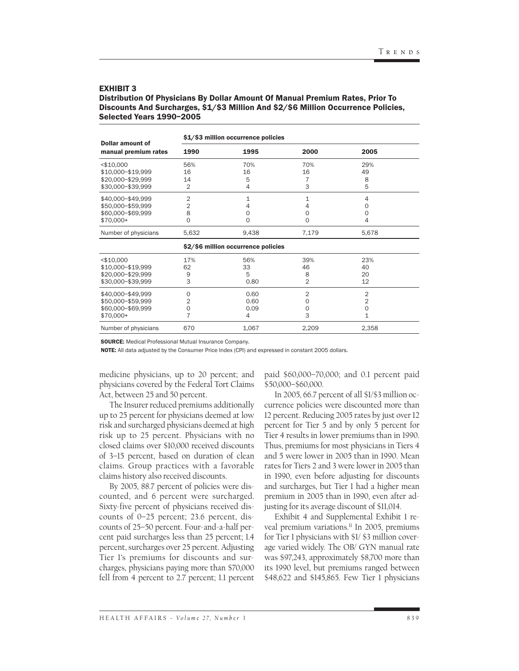#### Distribution Of Physicians By Dollar Amount Of Manual Premium Rates, Prior To Discounts And Surcharges, \$1/\$3 Million And \$2/\$6 Million Occurrence Policies, Selected Years 1990–2005

| Dollar amount of                                                            | \$1/\$3 million occurrence policies |                                        |                                                |                                          |  |  |  |
|-----------------------------------------------------------------------------|-------------------------------------|----------------------------------------|------------------------------------------------|------------------------------------------|--|--|--|
| manual premium rates                                                        | 1990                                | 1995                                   | 2000                                           | 2005                                     |  |  |  |
| $<$ \$10,000<br>\$10,000-\$19,999<br>\$20,000-\$29,999<br>\$30,000-\$39,999 | 56%<br>16<br>14<br>$\overline{2}$   | 70%<br>16<br>5<br>4                    | 70%<br>16<br>7<br>3                            | 29%<br>49<br>8<br>5                      |  |  |  |
| \$40,000-\$49,999<br>\$50,000-\$59,999<br>\$60,000-\$69,999<br>\$70,000+    | $\overline{2}$<br>2<br>8<br>0       | $\mathbf{1}$<br>4<br>0<br>$\mathbf 0$  | 1<br>4<br>$\mathbf 0$<br>$\mathbf 0$           | 4<br>$\Omega$<br>$\mathbf 0$<br>4        |  |  |  |
| Number of physicians                                                        | 5,632                               | 9,438                                  | 7,179                                          | 5,678                                    |  |  |  |
|                                                                             |                                     | \$2/\$6 million occurrence policies    |                                                |                                          |  |  |  |
| $<$ \$10,000<br>\$10,000-\$19,999<br>\$20,000-\$29,999<br>\$30,000-\$39,999 | 17%<br>62<br>9<br>3                 | 56%<br>33<br>5<br>0.80                 | 39%<br>46<br>8<br>2                            | 23%<br>40<br>20<br>12                    |  |  |  |
| \$40,000-\$49,999<br>\$50,000-\$59,999<br>\$60,000-\$69,999<br>\$70,000+    | $\Omega$<br>2<br>0<br>7             | 0.60<br>0.60<br>0.09<br>$\overline{4}$ | $\overline{2}$<br>$\circ$<br>$\mathbf{0}$<br>3 | $\overline{2}$<br>2<br>$\mathbf{O}$<br>1 |  |  |  |
| Number of physicians                                                        | 670                                 | 1,067                                  | 2,209                                          | 2,358                                    |  |  |  |

SOURCE: Medical Professional Mutual Insurance Company.

NOTE: All data adjusted by the Consumer Price Index (CPI) and expressed in constant 2005 dollars.

medicine physicians, up to 20 percent; and physicians covered by the Federal Tort Claims Act, between 25 and 50 percent.

The Insurer reduced premiums additionally up to 25 percent for physicians deemed at low risk and surcharged physicians deemed at high risk up to 25 percent. Physicians with no closed claims over \$10,000 received discounts of 3–15 percent, based on duration of clean claims. Group practices with a favorable claims history also received discounts.

By 2005, 88.7 percent of policies were discounted, and 6 percent were surcharged. Sixty-five percent of physicians received discounts of 0–25 percent; 23.6 percent, discounts of 25–50 percent. Four-and-a-half percent paid surcharges less than 25 percent; 1.4 percent, surcharges over 25 percent. Adjusting Tier 1's premiums for discounts and surcharges, physicians paying more than \$70,000 fell from 4 percent to 2.7 percent; 1.1 percent

paid \$60,000–70,000; and 0.1 percent paid \$50,000–\$60,000.

In 2005, 66.7 percent of all \$1/\$3 million occurrence policies were discounted more than 12 percent. Reducing 2005 rates by just over 12 percent for Tier 5 and by only 5 percent for Tier 4 results in lower premiums than in 1990. Thus, premiums for most physicians in Tiers 4 and 5 were lower in 2005 than in 1990. Mean rates for Tiers 2 and 3 were lower in 2005 than in 1990, even before adjusting for discounts and surcharges, but Tier 1 had a higher mean premium in 2005 than in 1990, even after adjusting for its average discount of \$11,014.

Exhibit 4 and Supplemental Exhibit 1 reveal premium variations.<sup>11</sup> In 2005, premiums for Tier 1 physicians with \$1/ \$3 million coverage varied widely. The OB/ GYN manual rate was \$97,243, approximately \$8,700 more than its 1990 level, but premiums ranged between \$48,622 and \$145,865. Few Tier 1 physicians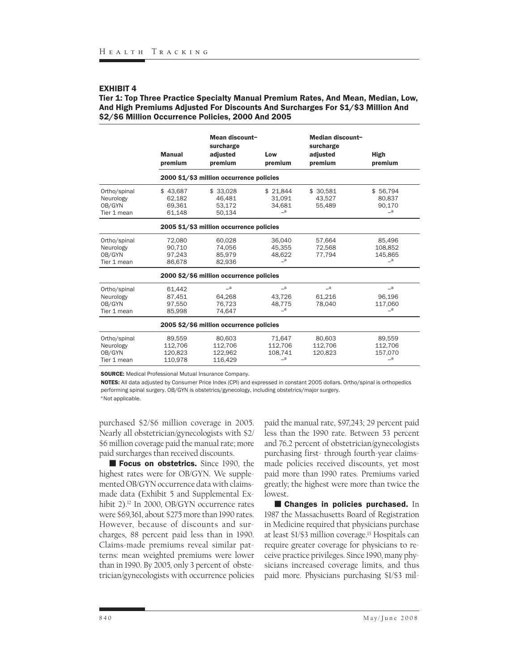Tier 1: Top Three Practice Specialty Manual Premium Rates, And Mean, Median, Low, And High Premiums Adjusted For Discounts And Surcharges For \$1/\$3 Million And \$2/\$6 Million Occurrence Policies, 2000 And 2005

|                                                    | <b>Manual</b><br>premium                 | Mean discount-<br>surcharge<br>adjusted<br>premium | Low<br>premium                                             | Median discount-<br>surcharge<br>adjusted<br>premium | <b>High</b><br>premium                                   |  |  |  |
|----------------------------------------------------|------------------------------------------|----------------------------------------------------|------------------------------------------------------------|------------------------------------------------------|----------------------------------------------------------|--|--|--|
|                                                    | 2000 \$1/\$3 million occurrence policies |                                                    |                                                            |                                                      |                                                          |  |  |  |
| Ortho/spinal<br>Neurology<br>OB/GYN<br>Tier 1 mean | \$43,687<br>62.182<br>69,361<br>61,148   | \$33,028<br>46,481<br>53,172<br>50,134             | \$21,844<br>31.091<br>34,681<br>$\overline{\phantom{a}}$   | \$ 30,581<br>43.527<br>55,489                        | \$56,794<br>80.837<br>90,170<br>$\overline{\phantom{a}}$ |  |  |  |
|                                                    | 2005 \$1/\$3 million occurrence policies |                                                    |                                                            |                                                      |                                                          |  |  |  |
| Ortho/spinal<br>Neurology<br>OB/GYN<br>Tier 1 mean | 72,080<br>90.710<br>97.243<br>86,678     | 60,028<br>74.056<br>85.979<br>82.936               | 36,040<br>45,355<br>48.622<br>$\equiv$ a                   | 57,664<br>72,568<br>77.794                           | 85,496<br>108.852<br>145.865<br>$\mathsf{a}$             |  |  |  |
|                                                    |                                          | 2000 \$2/\$6 million occurrence policies           |                                                            |                                                      |                                                          |  |  |  |
| Ortho/spinal<br>Neurology<br>OB/GYN<br>Tier 1 mean | 61.442<br>87.451<br>97.550<br>85.998     | $\sqsupseteq a$<br>64,268<br>76.723<br>74.647      | $\overline{\phantom{a}}$<br>43.726<br>48.775<br>$\equiv$ a | $\mathsf{a}$<br>61.216<br>78.040                     | $\equiv$ a<br>96.196<br>117.060<br>$\mathsf{a}_{-}$      |  |  |  |
|                                                    |                                          | 2005 \$2/\$6 million occurrence policies           |                                                            |                                                      |                                                          |  |  |  |
| Ortho/spinal<br>Neurology<br>OB/GYN<br>Tier 1 mean | 89,559<br>112,706<br>120.823<br>110,978  | 80.603<br>112.706<br>122.962<br>116,429            | 71.647<br>112.706<br>108.741<br>_a                         | 80.603<br>112,706<br>120.823                         | 89,559<br>112,706<br>157.070<br>_a                       |  |  |  |

SOURCE: Medical Professional Mutual Insurance Company.

NOTES: All data adjusted by Consumer Price Index (CPI) and expressed in constant 2005 dollars. Ortho/spinal is orthopedics performing spinal surgery. OB/GYN is obstetrics/gynecology, including obstetrics/major surgery.

<sup>a</sup> Not applicable.

purchased \$2/\$6 million coverage in 2005. Nearly all obstetrician/gynecologists with \$2/ \$6 million coverage paid the manual rate; more paid surcharges than received discounts.

Focus on obstetrics. Since 1990, the highest rates were for OB/GYN. We supplemented OB/GYN occurrence data with claimsmade data (Exhibit 5 and Supplemental Exhibit 2).<sup>12</sup> In 2000, OB/GYN occurrence rates were \$69,361, about \$275 more than 1990 rates. However, because of discounts and surcharges, 88 percent paid less than in 1990. Claims-made premiums reveal similar patterns: mean weighted premiums were lower than in 1990. By 2005, only 3 percent of obstetrician/gynecologists with occurrence policies

paid the manual rate, \$97,243; 29 percent paid less than the 1990 rate. Between 53 percent and 76.2 percent of obstetrician/gynecologists purchasing first- through fourth-year claimsmade policies received discounts, yet most paid more than 1990 rates. Premiums varied greatly; the highest were more than twice the lowest.

**E** Changes in policies purchased. In 1987 the Massachusetts Board of Registration in Medicine required that physicians purchase at least \$1/\$3 million coverage.13 Hospitals can require greater coverage for physicians to receive practice privileges. Since 1990, many physicians increased coverage limits, and thus paid more. Physicians purchasing \$1/\$3 mil-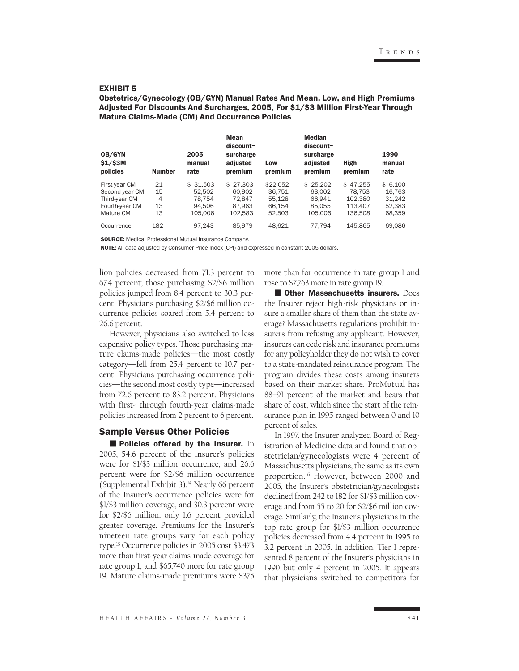| Adjusted For Discounts And Surcharges, 2005, For \$1/\$3 million First-fear Infougn<br><b>Mature Claims-Made (CM) And Occurrence Policies</b> |               |                        |                                                       |                |                                                                |                        |                        |  |
|-----------------------------------------------------------------------------------------------------------------------------------------------|---------------|------------------------|-------------------------------------------------------|----------------|----------------------------------------------------------------|------------------------|------------------------|--|
| OB/GYN<br>$$1/$ \$3M<br>policies                                                                                                              | <b>Number</b> | 2005<br>manual<br>rate | Mean<br>discount-<br>surcharge<br>adjusted<br>premium | Low<br>premium | <b>Median</b><br>discount-<br>surcharge<br>adjusted<br>premium | <b>High</b><br>premium | 1990<br>manual<br>rate |  |
| First-year CM                                                                                                                                 | 21            | \$31.503               | \$27.303                                              | \$22.052       | \$25.202                                                       | \$47.255               | \$6.100                |  |
| Second-vear CM                                                                                                                                | 15            | 52.502                 | 60.902                                                | 36.751         | 63.002                                                         | 78.753                 | 16.763                 |  |
| Third-year CM                                                                                                                                 | 4             | 78.754                 | 72.847                                                | 55.128         | 66.941                                                         | 102.380                | 31.242                 |  |
| Fourth-year CM                                                                                                                                | 13            | 94.506                 | 87.963                                                | 66.154         | 85.055                                                         | 113.407                | 52.383                 |  |
| Mature CM                                                                                                                                     | 13            | 105,006                | 102.583                                               | 52.503         | 105,006                                                        | 136.508                | 68,359                 |  |
| Occurrence                                                                                                                                    | 182           | 97.243                 | 85.979                                                | 48.621         | 77.794                                                         | 145.865                | 69.086                 |  |

Obstetrics/Gynecology (OB/GYN) Manual Rates And Mean, Low, and High Premiums Adjusted For Discounts And Surcharges, 2005, For \$1/\$3 Million First-Year Through

SOURCE: Medical Professional Mutual Insurance Company.

NOTE: All data adjusted by Consumer Price Index (CPI) and expressed in constant 2005 dollars.

lion policies decreased from 71.3 percent to 67.4 percent; those purchasing \$2/\$6 million policies jumped from 8.4 percent to 30.3 percent. Physicians purchasing \$2/\$6 million occurrence policies soared from 5.4 percent to 26.6 percent.

However, physicians also switched to less expensive policy types. Those purchasing mature claims-made policies—the most costly category—fell from 25.4 percent to 10.7 percent. Physicians purchasing occurrence policies—the second most costly type—increased from 72.6 percent to 83.2 percent. Physicians with first- through fourth-year claims-made policies increased from 2 percent to 6 percent.

#### Sample Versus Other Policies

**Policies offered by the Insurer.** In 2005, 54.6 percent of the Insurer's policies were for \$1/\$3 million occurrence, and 26.6 percent were for \$2/\$6 million occurrence (Supplemental Exhibit 3).14 Nearly 66 percent of the Insurer's occurrence policies were for \$1/\$3 million coverage, and 30.3 percent were for \$2/\$6 million; only 1.6 percent provided greater coverage. Premiums for the Insurer's nineteen rate groups vary for each policy type.15 Occurrence policies in 2005 cost \$3,473 more than first-year claims-made coverage for rate group 1, and \$65,740 more for rate group 19. Mature claims-made premiums were \$375 more than for occurrence in rate group 1 and rose to \$7,763 more in rate group 19.

**Cother Massachusetts insurers. Does** the Insurer reject high-risk physicians or insure a smaller share of them than the state average? Massachusetts regulations prohibit insurers from refusing any applicant. However, insurers can cede risk and insurance premiums for any policyholder they do not wish to cover to a state-mandated reinsurance program. The program divides these costs among insurers based on their market share. ProMutual has 88–91 percent of the market and bears that share of cost, which since the start of the reinsurance plan in 1995 ranged between 0 and 10 percent of sales.

In 1997, the Insurer analyzed Board of Registration of Medicine data and found that obstetrician/gynecologists were 4 percent of Massachusetts physicians, the same as its own proportion.16 However, between 2000 and 2005, the Insurer's obstetrician/gynecologists declined from 242 to 182 for \$1/\$3 million coverage and from 55 to 20 for \$2/\$6 million coverage. Similarly, the Insurer's physicians in the top rate group for \$1/\$3 million occurrence policies decreased from 4.4 percent in 1995 to 3.2 percent in 2005. In addition, Tier 1 represented 8 percent of the Insurer's physicians in 1990 but only 4 percent in 2005. It appears that physicians switched to competitors for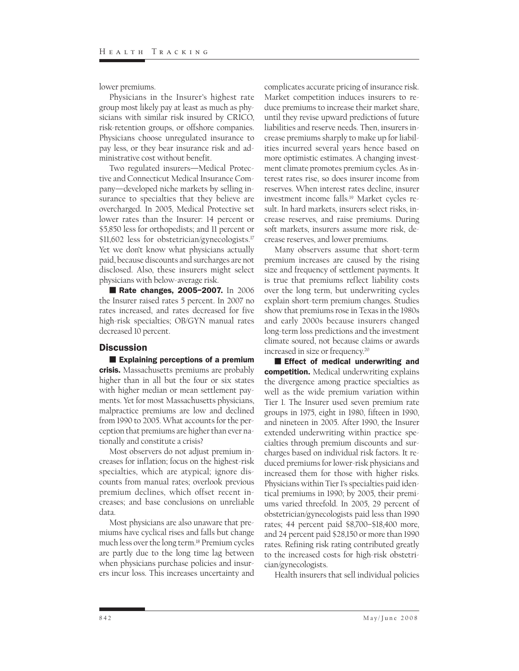lower premiums.

Physicians in the Insurer's highest rate group most likely pay at least as much as physicians with similar risk insured by CRICO, risk-retention groups, or offshore companies. Physicians choose unregulated insurance to pay less, or they bear insurance risk and administrative cost without benefit.

Two regulated insurers—Medical Protective and Connecticut Medical Insurance Company—developed niche markets by selling insurance to specialties that they believe are overcharged. In 2005, Medical Protective set lower rates than the Insurer: 14 percent or \$5,850 less for orthopedists; and 11 percent or \$11,602 less for obstetrician/gynecologists.<sup>17</sup> Yet we don't know what physicians actually paid, because discounts and surcharges are not disclosed. Also, these insurers might select physicians with below-average risk.

Rate changes, 2005-2007. In 2006 the Insurer raised rates 5 percent. In 2007 no rates increased, and rates decreased for five high-risk specialties; OB/GYN manual rates decreased 10 percent.

#### **Discussion**

**Explaining perceptions of a premium** crisis. Massachusetts premiums are probably higher than in all but the four or six states with higher median or mean settlement payments. Yet for most Massachusetts physicians, malpractice premiums are low and declined from 1990 to 2005. What accounts for the perception that premiums are higher than ever nationally and constitute a crisis?

Most observers do not adjust premium increases for inflation; focus on the highest-risk specialties, which are atypical; ignore discounts from manual rates; overlook previous premium declines, which offset recent increases; and base conclusions on unreliable data.

Most physicians are also unaware that premiums have cyclical rises and falls but change much less over the long term.18 Premium cycles are partly due to the long time lag between when physicians purchase policies and insurers incur loss. This increases uncertainty and

complicates accurate pricing of insurance risk. Market competition induces insurers to reduce premiums to increase their market share, until they revise upward predictions of future liabilities and reserve needs. Then, insurers increase premiums sharply to make up for liabilities incurred several years hence based on more optimistic estimates. A changing investment climate promotes premium cycles. As interest rates rise, so does insurer income from reserves. When interest rates decline, insurer investment income falls.19 Market cycles result. In hard markets, insurers select risks, increase reserves, and raise premiums. During soft markets, insurers assume more risk, decrease reserves, and lower premiums.

Many observers assume that short-term premium increases are caused by the rising size and frequency of settlement payments. It is true that premiums reflect liability costs over the long term, but underwriting cycles explain short-term premium changes. Studies show that premiums rose in Texas in the 1980s and early 2000s because insurers changed long-term loss predictions and the investment climate soured, not because claims or awards increased in size or frequency.20

**Effect of medical underwriting and** competition. Medical underwriting explains the divergence among practice specialties as well as the wide premium variation within Tier 1. The Insurer used seven premium rate groups in 1975, eight in 1980, fifteen in 1990, and nineteen in 2005. After 1990, the Insurer extended underwriting within practice specialties through premium discounts and surcharges based on individual risk factors. It reduced premiums for lower-risk physicians and increased them for those with higher risks. Physicians within Tier 1's specialties paid identical premiums in 1990; by 2005, their premiums varied threefold. In 2005, 29 percent of obstetrician/gynecologists paid less than 1990 rates; 44 percent paid \$8,700–\$18,400 more, and 24 percent paid \$28,150 or more than 1990 rates. Refining risk rating contributed greatly to the increased costs for high-risk obstetrician/gynecologists.

Health insurers that sell individual policies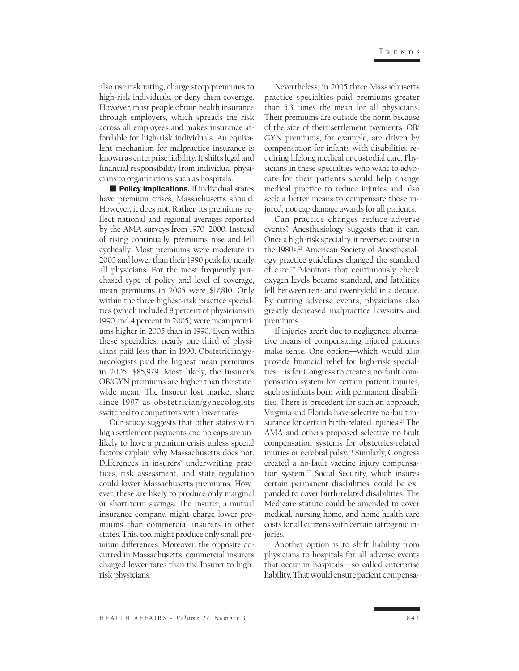also use risk rating, charge steep premiums to high-risk individuals, or deny them coverage. However, most people obtain health insurance through employers, which spreads the risk across all employees and makes insurance affordable for high-risk individuals. An equivalent mechanism for malpractice insurance is known as enterprise liability. It shifts legal and financial responsibility from individual physicians to organizations such as hospitals.

**Policy implications.** If individual states have premium crises, Massachusetts should. However, it does not. Rather, its premiums reflect national and regional averages reported by the AMA surveys from 1970–2000. Instead of rising continually, premiums rose and fell cyclically. Most premiums were moderate in 2005 and lower than their 1990 peak for nearly all physicians. For the most frequently purchased type of policy and level of coverage, mean premiums in 2005 were \$17,810. Only within the three highest-risk practice specialties (which included 8 percent of physicians in 1990 and 4 percent in 2005) were mean premiums higher in 2005 than in 1990. Even within these specialties, nearly one-third of physicians paid less than in 1990. Obstetrician/gynecologists paid the highest mean premiums in 2005: \$85,979. Most likely, the Insurer's OB/GYN premiums are higher than the statewide mean. The Insurer lost market share since 1997 as obstetrician/gynecologists switched to competitors with lower rates.

Our study suggests that other states with high settlement payments and no caps are unlikely to have a premium crisis unless special factors explain why Massachusetts does not. Differences in insurers' underwriting practices, risk assessment, and state regulation could lower Massachusetts premiums. However, these are likely to produce only marginal or short-term savings. The Insurer, a mutual insurance company, might charge lower premiums than commercial insurers in other states. This, too, might produce only small premium differences. Moreover, the opposite occurred in Massachusetts: commercial insurers charged lower rates than the Insurer to highrisk physicians.

Nevertheless, in 2005 three Massachusetts practice specialties paid premiums greater than 5.3 times the mean for all physicians. Their premiums are outside the norm because of the size of their settlement payments. OB/ GYN premiums, for example, are driven by compensation for infants with disabilities requiring lifelong medical or custodial care. Physicians in these specialties who want to advocate for their patients should help change medical practice to reduce injuries and also seek a better means to compensate those injured, not cap damage awards for all patients.

Can practice changes reduce adverse events? Anesthesiology suggests that it can. Once a high-risk specialty, it reversed course in the 1980s.<sup>21</sup> American Society of Anesthesiology practice guidelines changed the standard of care.22 Monitors that continuously check oxygen levels became standard, and fatalities fell between ten- and twentyfold in a decade. By cutting adverse events, physicians also greatly decreased malpractice lawsuits and premiums.

If injuries aren't due to negligence, alternative means of compensating injured patients make sense. One option—which would also provide financial relief for high-risk specialties—is for Congress to create a no-fault compensation system for certain patient injuries, such as infants born with permanent disabilities. There is precedent for such an approach. Virginia and Florida have selective no-fault insurance for certain birth-related injuries.<sup>23</sup> The AMA and others proposed selective no-fault compensation systems for obstetrics-related injuries or cerebral palsy.<sup>24</sup> Similarly, Congress created a no-fault vaccine injury compensation system.25 Social Security, which insures certain permanent disabilities, could be expanded to cover birth-related disabilities. The Medicare statute could be amended to cover medical, nursing home, and home health care costs for all citizens with certain iatrogenic injuries.

Another option is to shift liability from physicians to hospitals for all adverse events that occur in hospitals—so-called enterprise liability. That would ensure patient compensa-